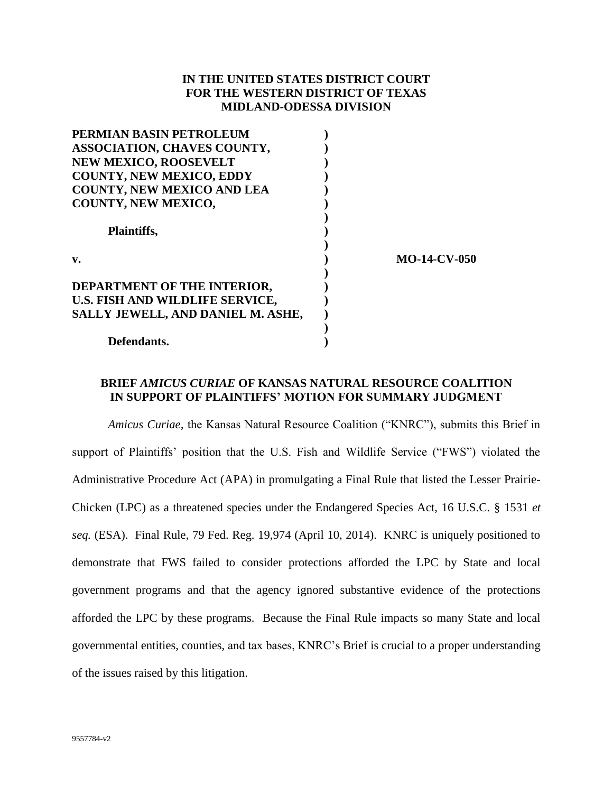## **IN THE UNITED STATES DISTRICT COURT FOR THE WESTERN DISTRICT OF TEXAS MIDLAND-ODESSA DIVISION**

| PERMIAN BASIN PETROLEUM           |                     |
|-----------------------------------|---------------------|
| ASSOCIATION, CHAVES COUNTY,       |                     |
| <b>NEW MEXICO, ROOSEVELT</b>      |                     |
| <b>COUNTY, NEW MEXICO, EDDY</b>   |                     |
| <b>COUNTY, NEW MEXICO AND LEA</b> |                     |
| <b>COUNTY, NEW MEXICO,</b>        |                     |
|                                   |                     |
| Plaintiffs,                       |                     |
| v.                                | <b>MO-14-CV-050</b> |
| DEPARTMENT OF THE INTERIOR,       |                     |
| U.S. FISH AND WILDLIFE SERVICE,   |                     |
| SALLY JEWELL, AND DANIEL M. ASHE, |                     |
|                                   |                     |
| Defendants.                       |                     |

## **BRIEF** *AMICUS CURIAE* **OF KANSAS NATURAL RESOURCE COALITION IN SUPPORT OF PLAINTIFFS' MOTION FOR SUMMARY JUDGMENT**

*Amicus Curiae,* the Kansas Natural Resource Coalition ("KNRC"), submits this Brief in support of Plaintiffs' position that the U.S. Fish and Wildlife Service ("FWS") violated the Administrative Procedure Act (APA) in promulgating a Final Rule that listed the Lesser Prairie-Chicken (LPC) as a threatened species under the Endangered Species Act, 16 U.S.C. § 1531 *et seq.* (ESA). Final Rule, 79 Fed. Reg. 19,974 (April 10, 2014). KNRC is uniquely positioned to demonstrate that FWS failed to consider protections afforded the LPC by State and local government programs and that the agency ignored substantive evidence of the protections afforded the LPC by these programs. Because the Final Rule impacts so many State and local governmental entities, counties, and tax bases, KNRC's Brief is crucial to a proper understanding of the issues raised by this litigation.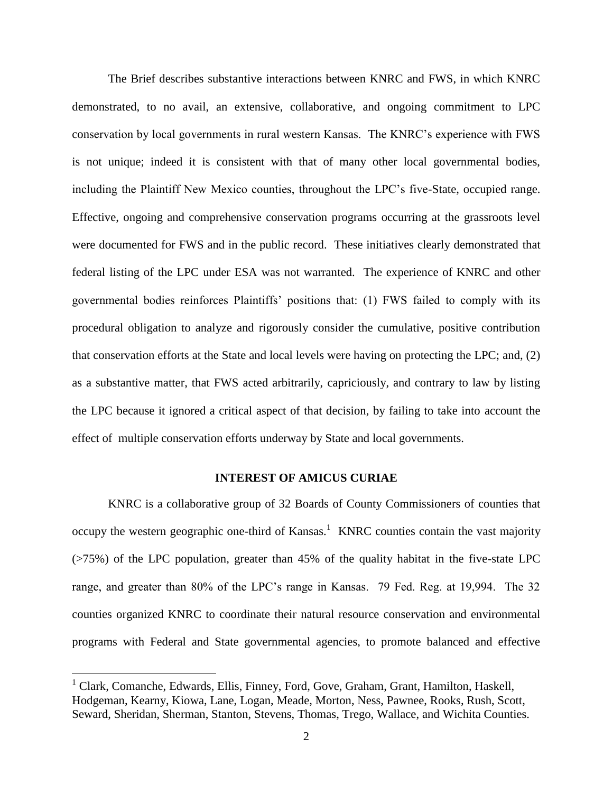The Brief describes substantive interactions between KNRC and FWS, in which KNRC demonstrated, to no avail, an extensive, collaborative, and ongoing commitment to LPC conservation by local governments in rural western Kansas. The KNRC's experience with FWS is not unique; indeed it is consistent with that of many other local governmental bodies, including the Plaintiff New Mexico counties, throughout the LPC's five-State, occupied range. Effective, ongoing and comprehensive conservation programs occurring at the grassroots level were documented for FWS and in the public record. These initiatives clearly demonstrated that federal listing of the LPC under ESA was not warranted. The experience of KNRC and other governmental bodies reinforces Plaintiffs' positions that: (1) FWS failed to comply with its procedural obligation to analyze and rigorously consider the cumulative, positive contribution that conservation efforts at the State and local levels were having on protecting the LPC; and, (2) as a substantive matter, that FWS acted arbitrarily, capriciously, and contrary to law by listing the LPC because it ignored a critical aspect of that decision, by failing to take into account the effect of multiple conservation efforts underway by State and local governments.

### **INTEREST OF AMICUS CURIAE**

KNRC is a collaborative group of 32 Boards of County Commissioners of counties that occupy the western geographic one-third of Kansas.<sup>1</sup> KNRC counties contain the vast majority (>75%) of the LPC population, greater than 45% of the quality habitat in the five-state LPC range, and greater than 80% of the LPC's range in Kansas. 79 Fed. Reg. at 19,994. The 32 counties organized KNRC to coordinate their natural resource conservation and environmental programs with Federal and State governmental agencies, to promote balanced and effective

 $1$  Clark, Comanche, Edwards, Ellis, Finney, Ford, Gove, Graham, Grant, Hamilton, Haskell, Hodgeman, Kearny, Kiowa, Lane, Logan, Meade, Morton, Ness, Pawnee, Rooks, Rush, Scott, Seward, Sheridan, Sherman, Stanton, Stevens, Thomas, Trego, Wallace, and Wichita Counties.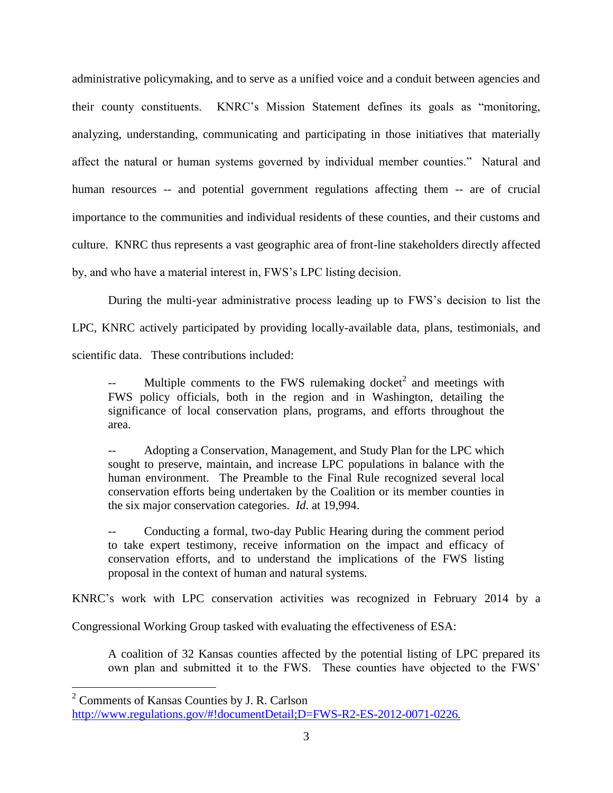administrative policymaking, and to serve as a unified voice and a conduit between agencies and their county constituents. KNRC's Mission Statement defines its goals as "monitoring, analyzing, understanding, communicating and participating in those initiatives that materially affect the natural or human systems governed by individual member counties." Natural and human resources -- and potential government regulations affecting them -- are of crucial importance to the communities and individual residents of these counties, and their customs and culture. KNRC thus represents a vast geographic area of front-line stakeholders directly affected by, and who have a material interest in, FWS's LPC listing decision.

During the multi-year administrative process leading up to FWS's decision to list the LPC, KNRC actively participated by providing locally-available data, plans, testimonials, and scientific data. These contributions included:

-- Multiple comments to the FWS rulemaking docket<sup>2</sup> and meetings with FWS policy officials, both in the region and in Washington, detailing the significance of local conservation plans, programs, and efforts throughout the area.

Adopting a Conservation, Management, and Study Plan for the LPC which sought to preserve, maintain, and increase LPC populations in balance with the human environment. The Preamble to the Final Rule recognized several local conservation efforts being undertaken by the Coalition or its member counties in the six major conservation categories. *Id*. at 19,994.

-- Conducting a formal, two-day Public Hearing during the comment period to take expert testimony, receive information on the impact and efficacy of conservation efforts, and to understand the implications of the FWS listing proposal in the context of human and natural systems.

KNRC's work with LPC conservation activities was recognized in February 2014 by a

Congressional Working Group tasked with evaluating the effectiveness of ESA:

A coalition of 32 Kansas counties affected by the potential listing of LPC prepared its own plan and submitted it to the FWS. These counties have objected to the FWS'

<sup>2</sup> Comments of Kansas Counties by J. R. Carlson

<http://www.regulations.gov/#!documentDetail;D=FWS-R2-ES-2012-0071-0226>.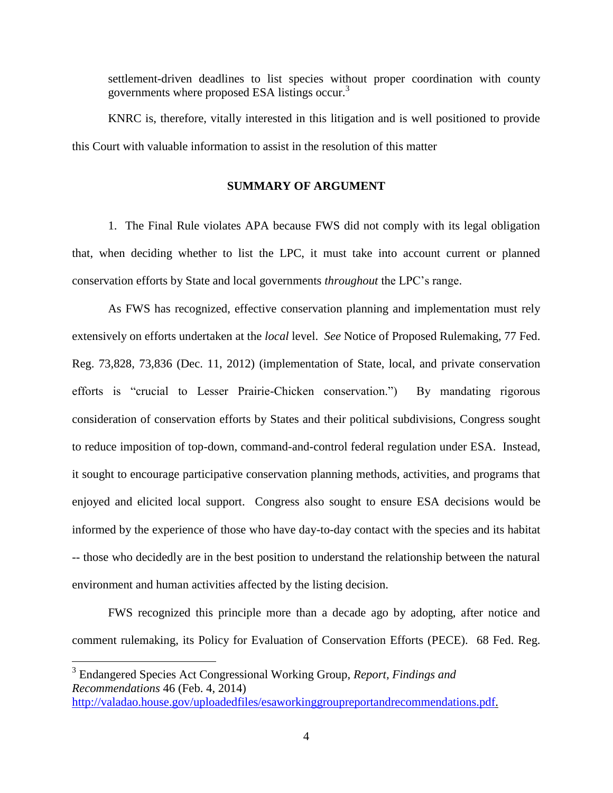settlement-driven deadlines to list species without proper coordination with county governments where proposed ESA listings occur.<sup>3</sup>

KNRC is, therefore, vitally interested in this litigation and is well positioned to provide this Court with valuable information to assist in the resolution of this matter

### **SUMMARY OF ARGUMENT**

1. The Final Rule violates APA because FWS did not comply with its legal obligation that, when deciding whether to list the LPC, it must take into account current or planned conservation efforts by State and local governments *throughout* the LPC's range.

As FWS has recognized, effective conservation planning and implementation must rely extensively on efforts undertaken at the *local* level. *See* Notice of Proposed Rulemaking, 77 Fed. Reg. 73,828, 73,836 (Dec. 11, 2012) (implementation of State, local, and private conservation efforts is "crucial to Lesser Prairie-Chicken conservation.") By mandating rigorous consideration of conservation efforts by States and their political subdivisions, Congress sought to reduce imposition of top-down, command-and-control federal regulation under ESA. Instead, it sought to encourage participative conservation planning methods, activities, and programs that enjoyed and elicited local support. Congress also sought to ensure ESA decisions would be informed by the experience of those who have day-to-day contact with the species and its habitat -- those who decidedly are in the best position to understand the relationship between the natural environment and human activities affected by the listing decision.

FWS recognized this principle more than a decade ago by adopting, after notice and comment rulemaking, its Policy for Evaluation of Conservation Efforts (PECE). 68 Fed. Reg.

<sup>3</sup> Endangered Species Act Congressional Working Group, *Report, Findings and Recommendations* 46 (Feb. 4, 2014) [http://valadao.house.gov/uploadedfiles/esaworkinggroupreportandrecommendations.pdf.](http://valadao.house.gov/uploadedfiles/esaworkinggroupreportandrecommendations.pdf)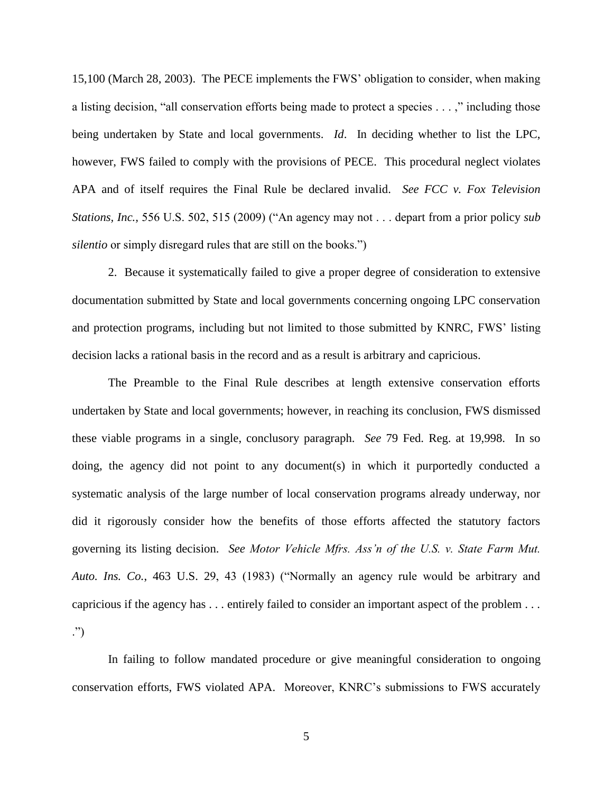15,100 (March 28, 2003). The PECE implements the FWS' obligation to consider, when making a listing decision, "all conservation efforts being made to protect a species . . . ," including those being undertaken by State and local governments. *Id*. In deciding whether to list the LPC, however, FWS failed to comply with the provisions of PECE. This procedural neglect violates APA and of itself requires the Final Rule be declared invalid. *See FCC v. Fox Television Stations, Inc.,* 556 U.S. 502, 515 (2009) ("An agency may not . . . depart from a prior policy *sub silentio* or simply disregard rules that are still on the books.")

2. Because it systematically failed to give a proper degree of consideration to extensive documentation submitted by State and local governments concerning ongoing LPC conservation and protection programs, including but not limited to those submitted by KNRC, FWS' listing decision lacks a rational basis in the record and as a result is arbitrary and capricious.

The Preamble to the Final Rule describes at length extensive conservation efforts undertaken by State and local governments; however, in reaching its conclusion, FWS dismissed these viable programs in a single, conclusory paragraph. *See* 79 Fed. Reg. at 19,998. In so doing, the agency did not point to any document(s) in which it purportedly conducted a systematic analysis of the large number of local conservation programs already underway, nor did it rigorously consider how the benefits of those efforts affected the statutory factors governing its listing decision. *See Motor Vehicle Mfrs. Ass'n of the U.S. v. State Farm Mut. Auto. Ins. Co.*, 463 U.S. 29, 43 (1983) ("Normally an agency rule would be arbitrary and capricious if the agency has . . . entirely failed to consider an important aspect of the problem . . . .")

In failing to follow mandated procedure or give meaningful consideration to ongoing conservation efforts, FWS violated APA. Moreover, KNRC's submissions to FWS accurately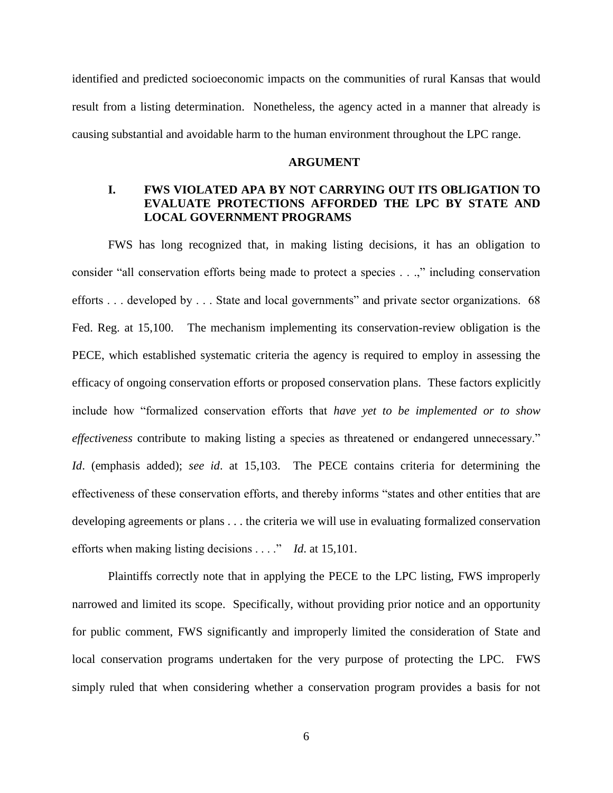identified and predicted socioeconomic impacts on the communities of rural Kansas that would result from a listing determination. Nonetheless, the agency acted in a manner that already is causing substantial and avoidable harm to the human environment throughout the LPC range.

#### **ARGUMENT**

# **I. FWS VIOLATED APA BY NOT CARRYING OUT ITS OBLIGATION TO EVALUATE PROTECTIONS AFFORDED THE LPC BY STATE AND LOCAL GOVERNMENT PROGRAMS**

FWS has long recognized that, in making listing decisions, it has an obligation to consider "all conservation efforts being made to protect a species . . .," including conservation efforts . . . developed by . . . State and local governments" and private sector organizations. 68 Fed. Reg. at 15,100. The mechanism implementing its conservation-review obligation is the PECE, which established systematic criteria the agency is required to employ in assessing the efficacy of ongoing conservation efforts or proposed conservation plans. These factors explicitly include how "formalized conservation efforts that *have yet to be implemented or to show effectiveness* contribute to making listing a species as threatened or endangered unnecessary." *Id*. (emphasis added); *see id*. at 15,103. The PECE contains criteria for determining the effectiveness of these conservation efforts, and thereby informs "states and other entities that are developing agreements or plans . . . the criteria we will use in evaluating formalized conservation efforts when making listing decisions . . . ." *Id*. at 15,101.

Plaintiffs correctly note that in applying the PECE to the LPC listing, FWS improperly narrowed and limited its scope. Specifically, without providing prior notice and an opportunity for public comment, FWS significantly and improperly limited the consideration of State and local conservation programs undertaken for the very purpose of protecting the LPC. FWS simply ruled that when considering whether a conservation program provides a basis for not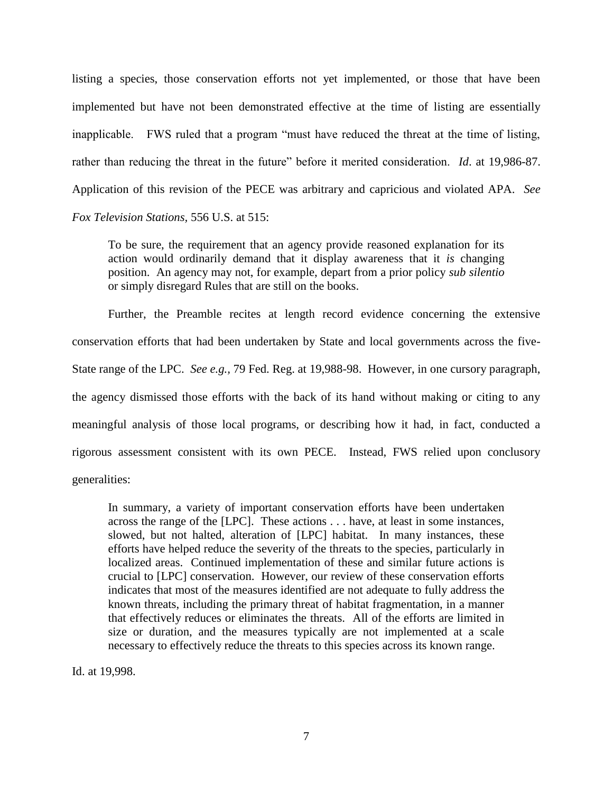listing a species, those conservation efforts not yet implemented, or those that have been implemented but have not been demonstrated effective at the time of listing are essentially inapplicable. FWS ruled that a program "must have reduced the threat at the time of listing, rather than reducing the threat in the future" before it merited consideration. *Id*. at 19,986-87. Application of this revision of the PECE was arbitrary and capricious and violated APA. *See Fox Television Stations,* 556 U.S. at 515:

To be sure, the requirement that an agency provide reasoned explanation for its action would ordinarily demand that it display awareness that it *is* changing position. An agency may not, for example, depart from a prior policy *sub silentio* or simply disregard Rules that are still on the books.

Further, the Preamble recites at length record evidence concerning the extensive conservation efforts that had been undertaken by State and local governments across the five-State range of the LPC. *See e.g.,* 79 Fed. Reg. at 19,988-98. However, in one cursory paragraph, the agency dismissed those efforts with the back of its hand without making or citing to any meaningful analysis of those local programs, or describing how it had, in fact, conducted a rigorous assessment consistent with its own PECE. Instead, FWS relied upon conclusory generalities:

In summary, a variety of important conservation efforts have been undertaken across the range of the [LPC]. These actions . . . have, at least in some instances, slowed, but not halted, alteration of [LPC] habitat. In many instances, these efforts have helped reduce the severity of the threats to the species, particularly in localized areas. Continued implementation of these and similar future actions is crucial to [LPC] conservation. However, our review of these conservation efforts indicates that most of the measures identified are not adequate to fully address the known threats, including the primary threat of habitat fragmentation, in a manner that effectively reduces or eliminates the threats. All of the efforts are limited in size or duration, and the measures typically are not implemented at a scale necessary to effectively reduce the threats to this species across its known range.

Id. at 19,998.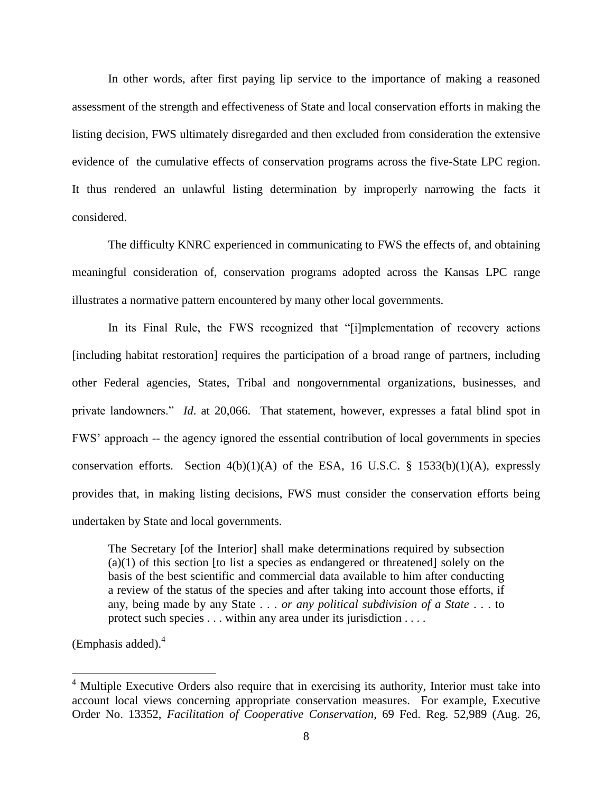In other words, after first paying lip service to the importance of making a reasoned assessment of the strength and effectiveness of State and local conservation efforts in making the listing decision, FWS ultimately disregarded and then excluded from consideration the extensive evidence of the cumulative effects of conservation programs across the five-State LPC region. It thus rendered an unlawful listing determination by improperly narrowing the facts it considered.

The difficulty KNRC experienced in communicating to FWS the effects of, and obtaining meaningful consideration of, conservation programs adopted across the Kansas LPC range illustrates a normative pattern encountered by many other local governments.

In its Final Rule, the FWS recognized that "[i]mplementation of recovery actions [including habitat restoration] requires the participation of a broad range of partners, including other Federal agencies, States, Tribal and nongovernmental organizations, businesses, and private landowners." *Id*. at 20,066. That statement, however, expresses a fatal blind spot in FWS' approach -- the agency ignored the essential contribution of local governments in species conservation efforts. Section  $4(b)(1)(A)$  of the ESA, 16 U.S.C. § 1533(b)(1)(A), expressly provides that, in making listing decisions, FWS must consider the conservation efforts being undertaken by State and local governments.

The Secretary [of the Interior] shall make determinations required by subsection  $(a)(1)$  of this section [to list a species as endangered or threatened] solely on the basis of the best scientific and commercial data available to him after conducting a review of the status of the species and after taking into account those efforts, if any, being made by any State . . . *or any political subdivision of a State* . . . to protect such species . . . within any area under its jurisdiction . . . .

(Emphasis added). $4$ 

 $4$  Multiple Executive Orders also require that in exercising its authority, Interior must take into account local views concerning appropriate conservation measures. For example, Executive Order No. 13352, *Facilitation of Cooperative Conservation*, 69 Fed. Reg. 52,989 (Aug. 26,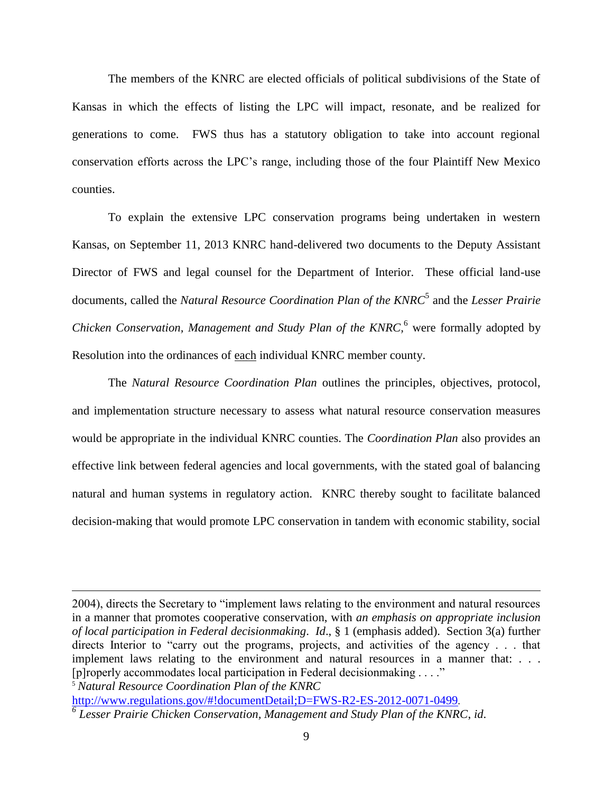The members of the KNRC are elected officials of political subdivisions of the State of Kansas in which the effects of listing the LPC will impact, resonate, and be realized for generations to come. FWS thus has a statutory obligation to take into account regional conservation efforts across the LPC's range, including those of the four Plaintiff New Mexico counties.

To explain the extensive LPC conservation programs being undertaken in western Kansas, on September 11, 2013 KNRC hand-delivered two documents to the Deputy Assistant Director of FWS and legal counsel for the Department of Interior. These official land-use documents, called the *Natural Resource Coordination Plan of the KNRC*<sup>5</sup> and the *Lesser Prairie Chicken Conservation, Management and Study Plan of the KNRC*,<sup>6</sup> were formally adopted by Resolution into the ordinances of each individual KNRC member county.

The *Natural Resource Coordination Plan* outlines the principles, objectives, protocol, and implementation structure necessary to assess what natural resource conservation measures would be appropriate in the individual KNRC counties. The *Coordination Plan* also provides an effective link between federal agencies and local governments, with the stated goal of balancing natural and human systems in regulatory action. KNRC thereby sought to facilitate balanced decision-making that would promote LPC conservation in tandem with economic stability, social

<sup>5</sup> *Natural Resource Coordination Plan of the KNRC*

 $\overline{a}$ 

<http://www.regulations.gov/#!documentDetail;D=FWS-R2-ES-2012-0071-0499>. *6 Lesser Prairie Chicken Conservation, Management and Study Plan of the KNRC*, *id*.

<sup>2004),</sup> directs the Secretary to "implement laws relating to the environment and natural resources in a manner that promotes cooperative conservation, with *an emphasis on appropriate inclusion of local participation in Federal decisionmaking*. *Id*., § 1 (emphasis added). Section 3(a) further directs Interior to "carry out the programs, projects, and activities of the agency . . . that implement laws relating to the environment and natural resources in a manner that: . . . [p]roperly accommodates local participation in Federal decisionmaking . . . ."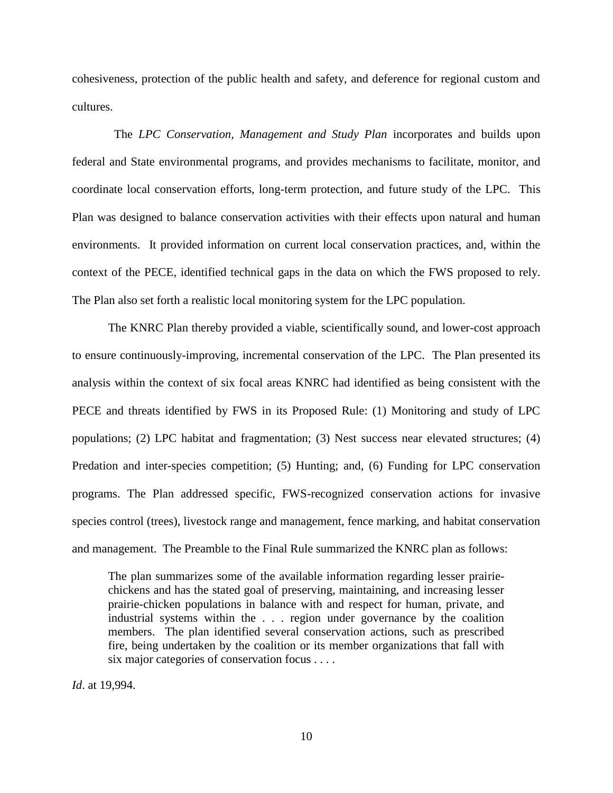cohesiveness, protection of the public health and safety, and deference for regional custom and cultures.

 The *LPC Conservation, Management and Study Plan* incorporates and builds upon federal and State environmental programs, and provides mechanisms to facilitate, monitor, and coordinate local conservation efforts, long-term protection, and future study of the LPC. This Plan was designed to balance conservation activities with their effects upon natural and human environments. It provided information on current local conservation practices, and, within the context of the PECE, identified technical gaps in the data on which the FWS proposed to rely. The Plan also set forth a realistic local monitoring system for the LPC population.

The KNRC Plan thereby provided a viable, scientifically sound, and lower-cost approach to ensure continuously-improving, incremental conservation of the LPC. The Plan presented its analysis within the context of six focal areas KNRC had identified as being consistent with the PECE and threats identified by FWS in its Proposed Rule: (1) Monitoring and study of LPC populations; (2) LPC habitat and fragmentation; (3) Nest success near elevated structures; (4) Predation and inter-species competition; (5) Hunting; and, (6) Funding for LPC conservation programs. The Plan addressed specific, FWS-recognized conservation actions for invasive species control (trees), livestock range and management, fence marking, and habitat conservation and management. The Preamble to the Final Rule summarized the KNRC plan as follows:

The plan summarizes some of the available information regarding lesser prairiechickens and has the stated goal of preserving, maintaining, and increasing lesser prairie-chicken populations in balance with and respect for human, private, and industrial systems within the . . . region under governance by the coalition members. The plan identified several conservation actions, such as prescribed fire, being undertaken by the coalition or its member organizations that fall with six major categories of conservation focus . . . .

*Id*. at 19,994.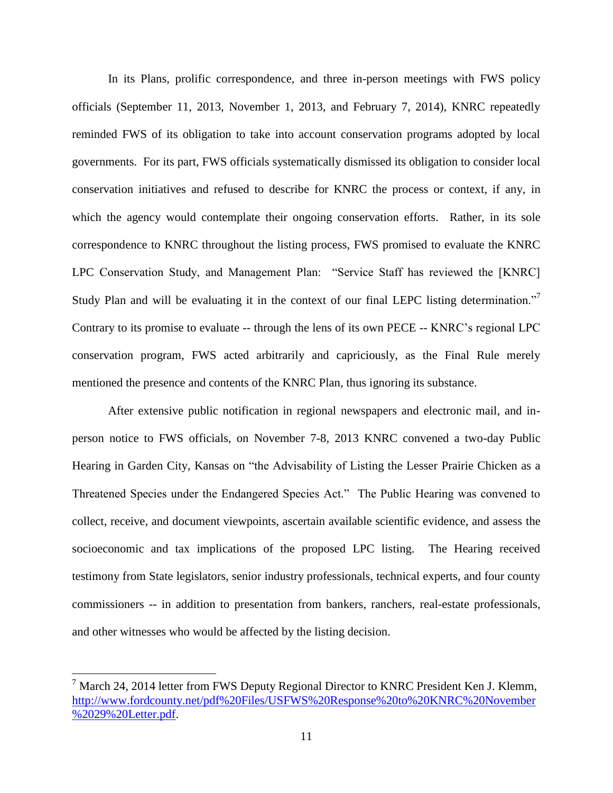In its Plans, prolific correspondence, and three in-person meetings with FWS policy officials (September 11, 2013, November 1, 2013, and February 7, 2014), KNRC repeatedly reminded FWS of its obligation to take into account conservation programs adopted by local governments. For its part, FWS officials systematically dismissed its obligation to consider local conservation initiatives and refused to describe for KNRC the process or context, if any, in which the agency would contemplate their ongoing conservation efforts. Rather, in its sole correspondence to KNRC throughout the listing process, FWS promised to evaluate the KNRC LPC Conservation Study, and Management Plan: "Service Staff has reviewed the [KNRC] Study Plan and will be evaluating it in the context of our final LEPC listing determination."<sup>7</sup> Contrary to its promise to evaluate -- through the lens of its own PECE -- KNRC's regional LPC conservation program, FWS acted arbitrarily and capriciously, as the Final Rule merely mentioned the presence and contents of the KNRC Plan, thus ignoring its substance.

After extensive public notification in regional newspapers and electronic mail, and inperson notice to FWS officials, on November 7-8, 2013 KNRC convened a two-day Public Hearing in Garden City, Kansas on "the Advisability of Listing the Lesser Prairie Chicken as a Threatened Species under the Endangered Species Act." The Public Hearing was convened to collect, receive, and document viewpoints, ascertain available scientific evidence, and assess the socioeconomic and tax implications of the proposed LPC listing. The Hearing received testimony from State legislators, senior industry professionals, technical experts, and four county commissioners -- in addition to presentation from bankers, ranchers, real-estate professionals, and other witnesses who would be affected by the listing decision.

<sup>&</sup>lt;sup>7</sup> March 24, 2014 letter from FWS Deputy Regional Director to KNRC President Ken J. Klemm, [http://www.fordcounty.net/pdf%20Files/USFWS%20Response%20to%20KNRC%20November](http://www.fordcounty.net/pdf%20Files/USFWS%20Response%20to%20KNRC%20November%2029%20Letter.pdf) [%2029%20Letter.pdf.](http://www.fordcounty.net/pdf%20Files/USFWS%20Response%20to%20KNRC%20November%2029%20Letter.pdf)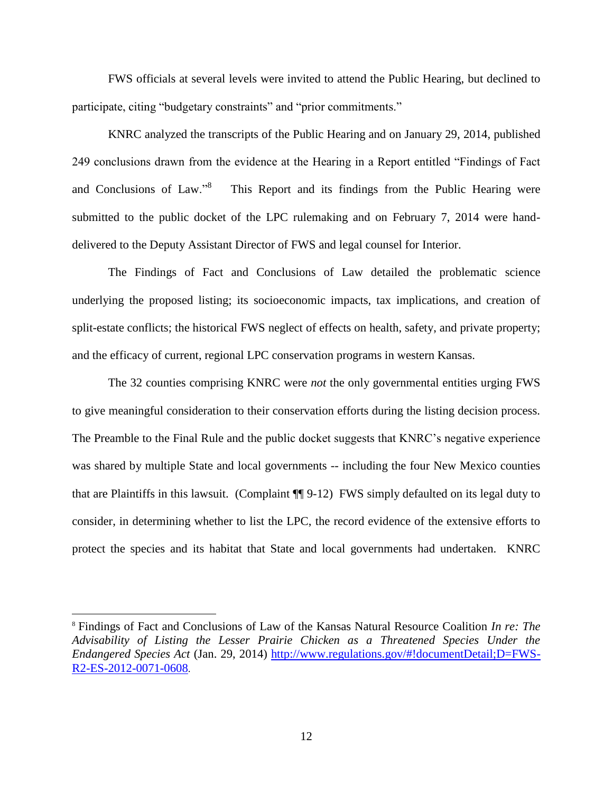FWS officials at several levels were invited to attend the Public Hearing, but declined to participate, citing "budgetary constraints" and "prior commitments."

KNRC analyzed the transcripts of the Public Hearing and on January 29, 2014, published 249 conclusions drawn from the evidence at the Hearing in a Report entitled "Findings of Fact and Conclusions of Law."<sup>8</sup> This Report and its findings from the Public Hearing were submitted to the public docket of the LPC rulemaking and on February 7, 2014 were handdelivered to the Deputy Assistant Director of FWS and legal counsel for Interior.

The Findings of Fact and Conclusions of Law detailed the problematic science underlying the proposed listing; its socioeconomic impacts, tax implications, and creation of split-estate conflicts; the historical FWS neglect of effects on health, safety, and private property; and the efficacy of current, regional LPC conservation programs in western Kansas.

The 32 counties comprising KNRC were *not* the only governmental entities urging FWS to give meaningful consideration to their conservation efforts during the listing decision process. The Preamble to the Final Rule and the public docket suggests that KNRC's negative experience was shared by multiple State and local governments -- including the four New Mexico counties that are Plaintiffs in this lawsuit. (Complaint ¶¶ 9-12) FWS simply defaulted on its legal duty to consider, in determining whether to list the LPC, the record evidence of the extensive efforts to protect the species and its habitat that State and local governments had undertaken. KNRC

<sup>8</sup> Findings of Fact and Conclusions of Law of the Kansas Natural Resource Coalition *In re: The Advisability of Listing the Lesser Prairie Chicken as a Threatened Species Under the Endangered Species Act* (Jan. 29, 2014) [http://www.regulations.gov/#!documentDetail;D=FWS-](http://www.regulations.gov/#!documentDetail;D=FWS-R2-ES-2012-0071-0608)[R2-ES-2012-0071-0608](http://www.regulations.gov/#!documentDetail;D=FWS-R2-ES-2012-0071-0608).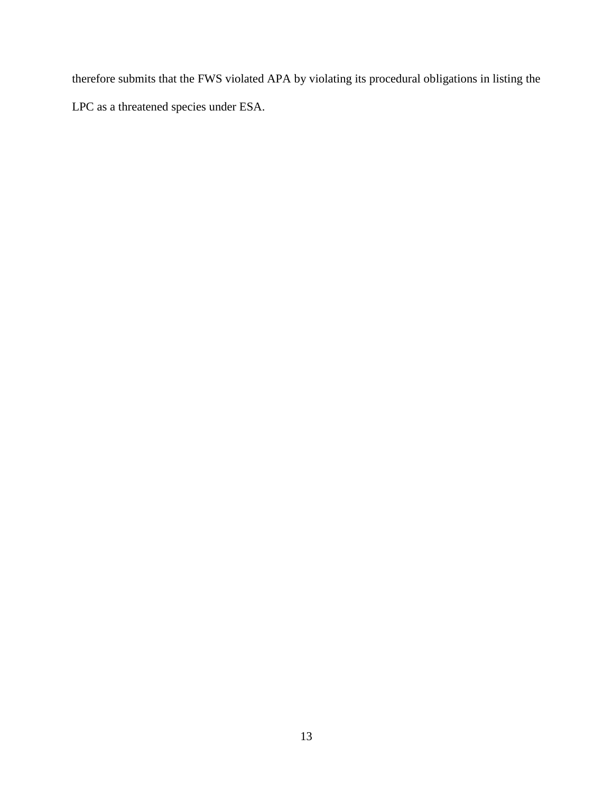therefore submits that the FWS violated APA by violating its procedural obligations in listing the LPC as a threatened species under ESA.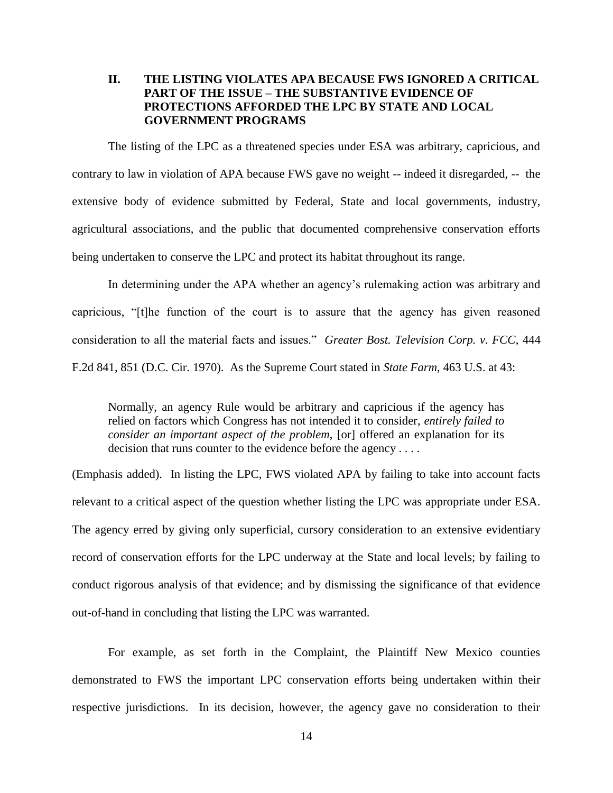# **II. THE LISTING VIOLATES APA BECAUSE FWS IGNORED A CRITICAL PART OF THE ISSUE – THE SUBSTANTIVE EVIDENCE OF PROTECTIONS AFFORDED THE LPC BY STATE AND LOCAL GOVERNMENT PROGRAMS**

The listing of the LPC as a threatened species under ESA was arbitrary, capricious, and contrary to law in violation of APA because FWS gave no weight -- indeed it disregarded, -- the extensive body of evidence submitted by Federal, State and local governments, industry, agricultural associations, and the public that documented comprehensive conservation efforts being undertaken to conserve the LPC and protect its habitat throughout its range.

In determining under the APA whether an agency's rulemaking action was arbitrary and capricious, "[t]he function of the court is to assure that the agency has given reasoned consideration to all the material facts and issues." *Greater Bost. Television Corp. v. FCC*, 444 F.2d 841, 851 (D.C. Cir. 1970). As the Supreme Court stated in *State Farm*, 463 U.S. at 43:

Normally, an agency Rule would be arbitrary and capricious if the agency has relied on factors which Congress has not intended it to consider, *entirely failed to consider an important aspect of the problem*, [or] offered an explanation for its decision that runs counter to the evidence before the agency . . . .

(Emphasis added). In listing the LPC, FWS violated APA by failing to take into account facts relevant to a critical aspect of the question whether listing the LPC was appropriate under ESA. The agency erred by giving only superficial, cursory consideration to an extensive evidentiary record of conservation efforts for the LPC underway at the State and local levels; by failing to conduct rigorous analysis of that evidence; and by dismissing the significance of that evidence out-of-hand in concluding that listing the LPC was warranted.

For example, as set forth in the Complaint, the Plaintiff New Mexico counties demonstrated to FWS the important LPC conservation efforts being undertaken within their respective jurisdictions. In its decision, however, the agency gave no consideration to their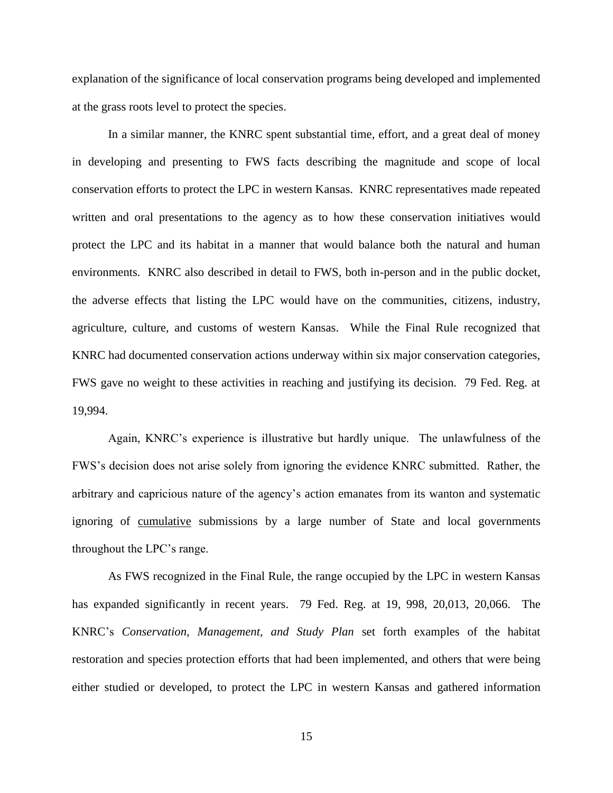explanation of the significance of local conservation programs being developed and implemented at the grass roots level to protect the species.

In a similar manner, the KNRC spent substantial time, effort, and a great deal of money in developing and presenting to FWS facts describing the magnitude and scope of local conservation efforts to protect the LPC in western Kansas. KNRC representatives made repeated written and oral presentations to the agency as to how these conservation initiatives would protect the LPC and its habitat in a manner that would balance both the natural and human environments. KNRC also described in detail to FWS, both in-person and in the public docket, the adverse effects that listing the LPC would have on the communities, citizens, industry, agriculture, culture, and customs of western Kansas. While the Final Rule recognized that KNRC had documented conservation actions underway within six major conservation categories, FWS gave no weight to these activities in reaching and justifying its decision. 79 Fed. Reg. at 19,994.

Again, KNRC's experience is illustrative but hardly unique. The unlawfulness of the FWS's decision does not arise solely from ignoring the evidence KNRC submitted. Rather, the arbitrary and capricious nature of the agency's action emanates from its wanton and systematic ignoring of cumulative submissions by a large number of State and local governments throughout the LPC's range.

As FWS recognized in the Final Rule, the range occupied by the LPC in western Kansas has expanded significantly in recent years. 79 Fed. Reg. at 19, 998, 20,013, 20,066. The KNRC's *Conservation, Management, and Study Plan* set forth examples of the habitat restoration and species protection efforts that had been implemented, and others that were being either studied or developed, to protect the LPC in western Kansas and gathered information

15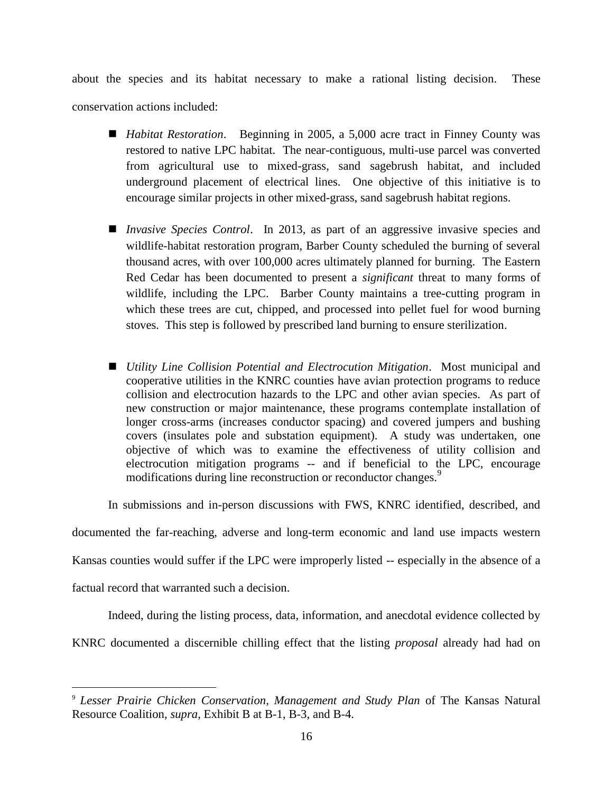about the species and its habitat necessary to make a rational listing decision. These conservation actions included:

- *Habitat Restoration*. Beginning in 2005, a 5,000 acre tract in Finney County was restored to native LPC habitat. The near-contiguous, multi-use parcel was converted from agricultural use to mixed-grass, sand sagebrush habitat, and included underground placement of electrical lines. One objective of this initiative is to encourage similar projects in other mixed-grass, sand sagebrush habitat regions.
- *Invasive Species Control*. In 2013, as part of an aggressive invasive species and wildlife-habitat restoration program, Barber County scheduled the burning of several thousand acres, with over 100,000 acres ultimately planned for burning. The Eastern Red Cedar has been documented to present a *significant* threat to many forms of wildlife, including the LPC. Barber County maintains a tree-cutting program in which these trees are cut, chipped, and processed into pellet fuel for wood burning stoves. This step is followed by prescribed land burning to ensure sterilization.
- *Utility Line Collision Potential and Electrocution Mitigation*. Most municipal and cooperative utilities in the KNRC counties have avian protection programs to reduce collision and electrocution hazards to the LPC and other avian species. As part of new construction or major maintenance, these programs contemplate installation of longer cross-arms (increases conductor spacing) and covered jumpers and bushing covers (insulates pole and substation equipment). A study was undertaken, one objective of which was to examine the effectiveness of utility collision and electrocution mitigation programs -- and if beneficial to the LPC, encourage modifications during line reconstruction or reconductor changes.<sup>9</sup>

In submissions and in-person discussions with FWS, KNRC identified, described, and

documented the far-reaching, adverse and long-term economic and land use impacts western

Kansas counties would suffer if the LPC were improperly listed -- especially in the absence of a

factual record that warranted such a decision.

 $\overline{a}$ 

Indeed, during the listing process, data, information, and anecdotal evidence collected by

KNRC documented a discernible chilling effect that the listing *proposal* already had had on

<sup>9</sup> *Lesser Prairie Chicken Conservation, Management and Study Plan* of The Kansas Natural Resource Coalition, *supra*, Exhibit B at B-1, B-3, and B-4.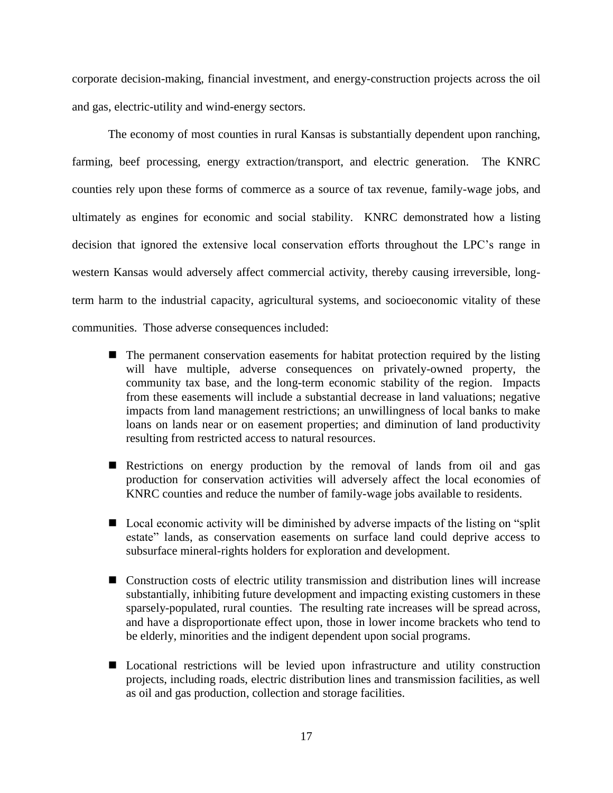corporate decision-making, financial investment, and energy-construction projects across the oil and gas, electric-utility and wind-energy sectors.

The economy of most counties in rural Kansas is substantially dependent upon ranching, farming, beef processing, energy extraction/transport, and electric generation. The KNRC counties rely upon these forms of commerce as a source of tax revenue, family-wage jobs, and ultimately as engines for economic and social stability. KNRC demonstrated how a listing decision that ignored the extensive local conservation efforts throughout the LPC's range in western Kansas would adversely affect commercial activity, thereby causing irreversible, longterm harm to the industrial capacity, agricultural systems, and socioeconomic vitality of these communities. Those adverse consequences included:

- $\blacksquare$  The permanent conservation easements for habitat protection required by the listing will have multiple, adverse consequences on privately-owned property, the community tax base, and the long-term economic stability of the region. Impacts from these easements will include a substantial decrease in land valuations; negative impacts from land management restrictions; an unwillingness of local banks to make loans on lands near or on easement properties; and diminution of land productivity resulting from restricted access to natural resources.
- Restrictions on energy production by the removal of lands from oil and gas production for conservation activities will adversely affect the local economies of KNRC counties and reduce the number of family-wage jobs available to residents.
- Local economic activity will be diminished by adverse impacts of the listing on "split" estate" lands, as conservation easements on surface land could deprive access to subsurface mineral-rights holders for exploration and development.
- Construction costs of electric utility transmission and distribution lines will increase substantially, inhibiting future development and impacting existing customers in these sparsely-populated, rural counties. The resulting rate increases will be spread across, and have a disproportionate effect upon, those in lower income brackets who tend to be elderly, minorities and the indigent dependent upon social programs.
- **Locational restrictions will be levied upon infrastructure and utility construction** projects, including roads, electric distribution lines and transmission facilities, as well as oil and gas production, collection and storage facilities.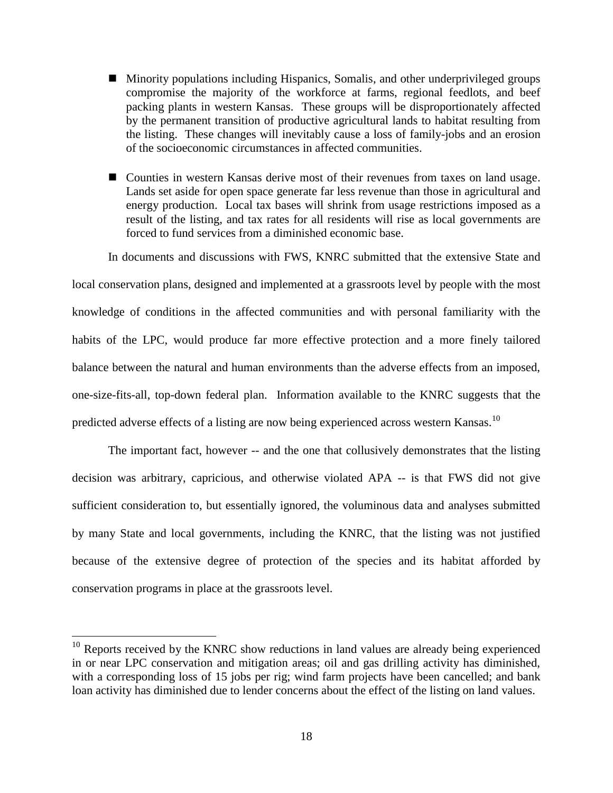- Minority populations including Hispanics, Somalis, and other underprivileged groups compromise the majority of the workforce at farms, regional feedlots, and beef packing plants in western Kansas. These groups will be disproportionately affected by the permanent transition of productive agricultural lands to habitat resulting from the listing. These changes will inevitably cause a loss of family-jobs and an erosion of the socioeconomic circumstances in affected communities.
- Counties in western Kansas derive most of their revenues from taxes on land usage. Lands set aside for open space generate far less revenue than those in agricultural and energy production. Local tax bases will shrink from usage restrictions imposed as a result of the listing, and tax rates for all residents will rise as local governments are forced to fund services from a diminished economic base.

In documents and discussions with FWS, KNRC submitted that the extensive State and

local conservation plans, designed and implemented at a grassroots level by people with the most knowledge of conditions in the affected communities and with personal familiarity with the habits of the LPC, would produce far more effective protection and a more finely tailored balance between the natural and human environments than the adverse effects from an imposed, one-size-fits-all, top-down federal plan. Information available to the KNRC suggests that the predicted adverse effects of a listing are now being experienced across western Kansas.<sup>10</sup>

The important fact, however -- and the one that collusively demonstrates that the listing decision was arbitrary, capricious, and otherwise violated APA -- is that FWS did not give sufficient consideration to, but essentially ignored, the voluminous data and analyses submitted by many State and local governments, including the KNRC, that the listing was not justified because of the extensive degree of protection of the species and its habitat afforded by conservation programs in place at the grassroots level.

 $10$  Reports received by the KNRC show reductions in land values are already being experienced in or near LPC conservation and mitigation areas; oil and gas drilling activity has diminished, with a corresponding loss of 15 jobs per rig; wind farm projects have been cancelled; and bank loan activity has diminished due to lender concerns about the effect of the listing on land values.